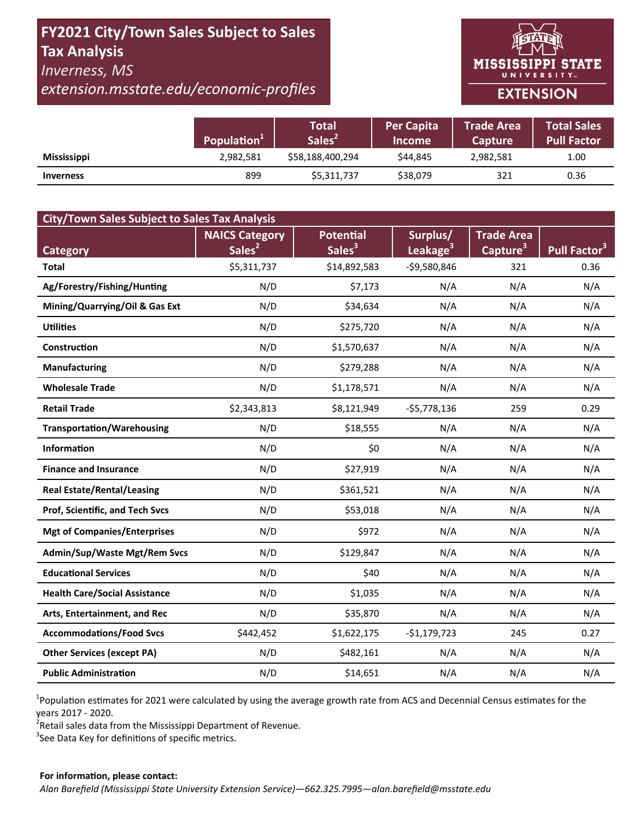# FY2021 City/Town Sales Subject to Sales **Tax Analysis**

## **Inverness, MS**

extension.msstate.edu/economic-profiles



|                    | Population <sup>1</sup> | <b>Total</b><br>Sales <sup>2</sup> | <b>Per Capita</b><br><b>Income</b> | <b>Trade Area</b><br><b>Capture</b> | <b>Total Sales</b><br><b>Pull Factor</b> |
|--------------------|-------------------------|------------------------------------|------------------------------------|-------------------------------------|------------------------------------------|
| <b>Mississippi</b> | 2,982,581               | \$58,188,400,294                   | \$44.845                           | 2,982,581                           | 1.00                                     |
| <b>Inverness</b>   | 899                     | \$5,311,737                        | \$38,079                           | 321                                 | 0.36                                     |

| <b>City/Town Sales Subject to Sales Tax Analysis</b> |                       |                    |                      |                      |                          |  |  |  |  |
|------------------------------------------------------|-----------------------|--------------------|----------------------|----------------------|--------------------------|--|--|--|--|
|                                                      | <b>NAICS Category</b> | Potential          | Surplus/             | <b>Trade Area</b>    |                          |  |  |  |  |
| <b>Category</b>                                      | Sales <sup>2</sup>    | Sales <sup>3</sup> | Leakage <sup>3</sup> | Capture <sup>3</sup> | Pull Factor <sup>3</sup> |  |  |  |  |
| <b>Total</b>                                         | \$5,311,737           | \$14,892,583       | -\$9,580,846         | 321                  | 0.36                     |  |  |  |  |
| Ag/Forestry/Fishing/Hunting                          | N/D                   | \$7,173            | N/A                  | N/A                  | N/A                      |  |  |  |  |
| Mining/Quarrying/Oil & Gas Ext                       | N/D                   | \$34,634           | N/A                  | N/A                  | N/A                      |  |  |  |  |
| <b>Utilities</b>                                     | N/D                   | \$275,720          | N/A                  | N/A                  | N/A                      |  |  |  |  |
| Construction                                         | N/D                   | \$1,570,637        | N/A                  | N/A                  | N/A                      |  |  |  |  |
| <b>Manufacturing</b>                                 | N/D                   | \$279,288          | N/A                  | N/A                  | N/A                      |  |  |  |  |
| <b>Wholesale Trade</b>                               | N/D                   | \$1,178,571        | N/A                  | N/A                  | N/A                      |  |  |  |  |
| <b>Retail Trade</b>                                  | \$2,343,813           | \$8,121,949        | $-$5,778,136$        | 259                  | 0.29                     |  |  |  |  |
| <b>Transportation/Warehousing</b>                    | N/D                   | \$18,555           | N/A                  | N/A                  | N/A                      |  |  |  |  |
| <b>Information</b>                                   | N/D                   | \$0                | N/A                  | N/A                  | N/A                      |  |  |  |  |
| <b>Finance and Insurance</b>                         | N/D                   | \$27,919           | N/A                  | N/A                  | N/A                      |  |  |  |  |
| <b>Real Estate/Rental/Leasing</b>                    | N/D                   | \$361,521          | N/A                  | N/A                  | N/A                      |  |  |  |  |
| Prof, Scientific, and Tech Svcs                      | N/D                   | \$53,018           | N/A                  | N/A                  | N/A                      |  |  |  |  |
| <b>Mgt of Companies/Enterprises</b>                  | N/D                   | \$972              | N/A                  | N/A                  | N/A                      |  |  |  |  |
| <b>Admin/Sup/Waste Mgt/Rem Svcs</b>                  | N/D                   | \$129,847          | N/A                  | N/A                  | N/A                      |  |  |  |  |
| <b>Educational Services</b>                          | N/D                   | \$40               | N/A                  | N/A                  | N/A                      |  |  |  |  |
| <b>Health Care/Social Assistance</b>                 | N/D                   | \$1,035            | N/A                  | N/A                  | N/A                      |  |  |  |  |
| Arts, Entertainment, and Rec                         | N/D                   | \$35,870           | N/A                  | N/A                  | N/A                      |  |  |  |  |
| <b>Accommodations/Food Svcs</b>                      | \$442,452             | \$1,622,175        | $-$1,179,723$        | 245                  | 0.27                     |  |  |  |  |
| <b>Other Services (except PA)</b>                    | N/D                   | \$482,161          | N/A                  | N/A                  | N/A                      |  |  |  |  |
| <b>Public Administration</b>                         | N/D                   | \$14,651           | N/A                  | N/A                  | N/A                      |  |  |  |  |

<sup>1</sup>Population estimates for 2021 were calculated by using the average growth rate from ACS and Decennial Census estimates for the years 2017 - 2020.

<sup>2</sup>Retail sales data from the Mississippi Department of Revenue.

<sup>3</sup>See Data Key for definitions of specific metrics.

#### For information, please contact: Alan Barefield (Mississippi State University Extension Service)-662.325.7995-alan.barefield@msstate.edu